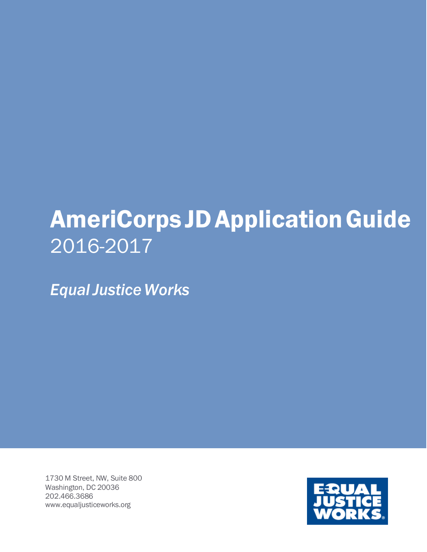# **AmeriCorps JD Application Guide** 2016-2017

*EqualJustice Works*

1730 M Street, NW, Suite 800 Washington, DC 20036 202.466.3686 [www.equaljusticeworks.org](http://www.equaljusticeworks.org/)

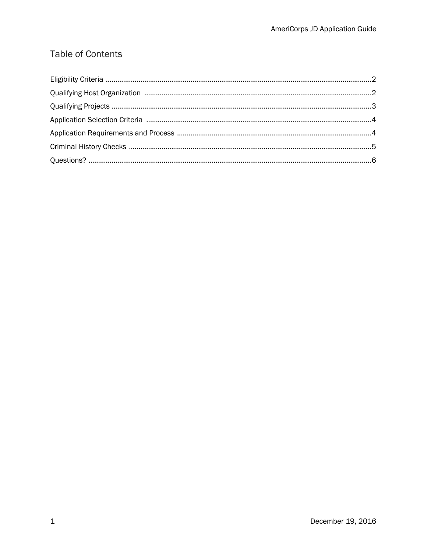# **Table of Contents**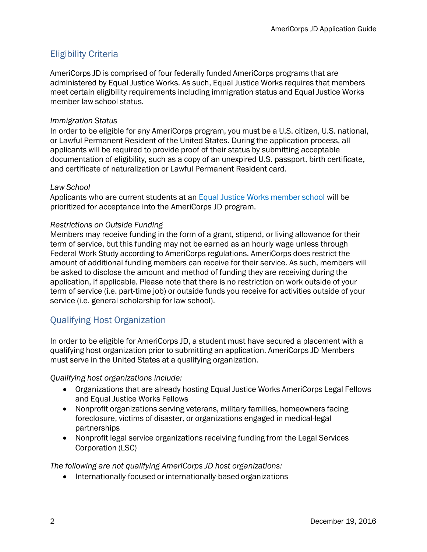# <span id="page-2-0"></span>Eligibility Criteria

AmeriCorps JD is comprised of four federally funded AmeriCorps programs that are administered by Equal Justice Works. As such, Equal Justice Works requires that members meet certain eligibility requirements including immigration status and Equal Justice Works member law school status.

#### *Immigration Status*

In order to be eligible for any AmeriCorps program, you must be a U.S. citizen, U.S. national, or Lawful Permanent Resident of the United States. During the application process, all applicants will be required to provide proof of their status by submitting acceptable documentation of eligibility, such as a copy of an unexpired U.S. passport, birth certificate, and certificate of naturalization or Lawful Permanent Resident card.

#### *Law School*

Applicants who are current students at an Equal [Justice](http://equaljusticeworks.org/law-school/membership/law-school-members) Works [member](http://equaljusticeworks.org/law-school/membership/law-school-members) school will be prioritized for acceptance into the AmeriCorps JD program.

#### *Restrictions on Outside Funding*

Members may receive funding in the form of a grant, stipend, or living allowance for their term of service, but this funding may not be earned as an hourly wage unless through Federal Work Study according to AmeriCorps regulations. AmeriCorps does restrict the amount of additional funding members can receive for their service. As such, members will be asked to disclose the amount and method of funding they are receiving during the application, if applicable. Please note that there is no restriction on work outside of your term of service (i.e. part-time job) or outside funds you receive for activities outside of your service (i.e. general scholarship for law school).

# <span id="page-2-1"></span>Qualifying Host Organization

In order to be eligible for AmeriCorps JD, a student must have secured a placement with a qualifying host organization prior to submitting an application. AmeriCorps JD Members must serve in the United States at a qualifying organization.

*Qualifying host organizations include:*

- Organizations that are already hosting Equal Justice Works AmeriCorps Legal Fellows and Equal Justice Works Fellows
- Nonprofit organizations serving veterans, military families, homeowners facing foreclosure, victims of disaster, or organizations engaged in medical-legal partnerships
- Nonprofit legal service organizations receiving funding from the Legal Services Corporation (LSC)

*The following are not qualifying AmeriCorps JD host organizations:*

• Internationally-focused or internationally-based organizations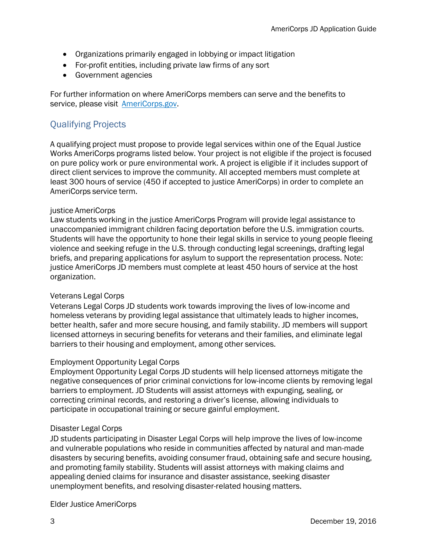- Organizations primarily engaged in lobbying or impact litigation
- For-profit entities, including private law firms of any sort
- Government agencies

For further information on where AmeriCorps members can serve and the benefits to service, please visit [AmeriCorps.gov.](http://www.americorps.gov/for_individuals/choose/state_national.asp)

# <span id="page-3-0"></span>Qualifying Projects

A qualifying project must propose to provide legal services within one of the Equal Justice Works AmeriCorps programs listed below. Your project is not eligible if the project is focused on pure policy work or pure environmental work. A project is eligible if it includes support of direct client services to improve the community. All accepted members must complete at least 300 hours of service (450 if accepted to justice AmeriCorps) in order to complete an AmeriCorps service term.

#### justice AmeriCorps

Law students working in the justice AmeriCorps Program will provide legal assistance to unaccompanied immigrant children facing deportation before the U.S. immigration courts. Students will have the opportunity to hone their legal skills in service to young people fleeing violence and seeking refuge in the U.S. through conducting legal screenings, drafting legal briefs, and preparing applications for asylum to support the representation process. Note: justice AmeriCorps JD members must complete at least 450 hours of service at the host organization.

#### Veterans Legal Corps

Veterans Legal Corps JD students work towards improving the lives of low-income and homeless veterans by providing legal assistance that ultimately leads to higher incomes, better health, safer and more secure housing, and family stability. JD members will support licensed attorneys in securing benefits for veterans and their families, and eliminate legal barriers to their housing and employment, among other services.

#### Employment Opportunity Legal Corps

Employment Opportunity Legal Corps JD students will help licensed attorneys mitigate the negative consequences of prior criminal convictions for low-income clients by removing legal barriers to employment. JD Students will assist attorneys with expunging, sealing, or correcting criminal records, and restoring a driver's license, allowing individuals to participate in occupational training or secure gainful employment.

#### Disaster Legal Corps

JD students participating in Disaster Legal Corps will help improve the lives of low-income and vulnerable populations who reside in communities affected by natural and man-made disasters by securing benefits, avoiding consumer fraud, obtaining safe and secure housing, and promoting family stability. Students will assist attorneys with making claims and appealing denied claims for insurance and disaster assistance, seeking disaster unemployment benefits, and resolving disaster-related housing matters.

Elder Justice AmeriCorps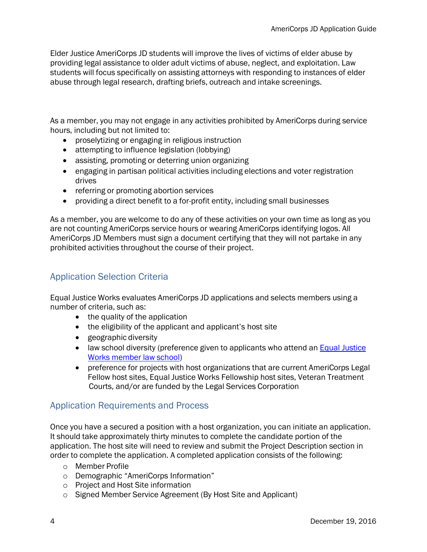Elder Justice AmeriCorps JD students will improve the lives of victims of elder abuse by providing legal assistance to older adult victims of abuse, neglect, and exploitation. Law students will focus specifically on assisting attorneys with responding to instances of elder abuse through legal research, drafting briefs, outreach and intake screenings.

As a member, you may not engage in any activities prohibited by AmeriCorps during service hours, including but not limited to:

- proselytizing or engaging in religious instruction
- attempting to influence legislation (lobbying)
- assisting, promoting or deterring union organizing
- engaging in partisan political activities including elections and voter registration drives
- referring or promoting abortion services
- providing a direct benefit to a for-profit entity, including small businesses

As a member, you are welcome to do any of these activities on your own time as long as you are not counting AmeriCorps service hours or wearing AmeriCorps identifying logos. All AmeriCorps JD Members must sign a document certifying that they will not partake in any prohibited activities throughout the course of their project.

# <span id="page-4-0"></span>Application Selection Criteria

Equal Justice Works evaluates AmeriCorps JD applications and selects members using a number of criteria, such as:

- $\bullet$  the quality of the application
- the eligibility of the applicant and applicant's host site
- geographic diversity
- law school diversity (preference given to applicants who attend an **Equal [Justice](http://equaljusticeworks.org/law-school/membership)** Works [member](http://equaljusticeworks.org/law-school/membership) law school)
- preference for projects with host organizations that are current AmeriCorps Legal Fellow host sites, Equal Justice Works Fellowship host sites, Veteran [Treatment](http://www.justiceforvets.org/veterans-treatment-court-locations) [Courts,](http://www.justiceforvets.org/veterans-treatment-court-locations) and/or are funded by the Legal Services Corporation

# <span id="page-4-1"></span>Application Requirements and Process

Once you have a secured a position with a host organization, you can initiate an application. It should take approximately thirty minutes to complete the candidate portion of the application. The host site will need to review and submit the Project Description section in order to complete the application. A completed application consists of the following:

- o Member Profile
- o Demographic "AmeriCorps Information"
- o Project and Host Site information
- o Signed Member Service Agreement (By Host Site and Applicant)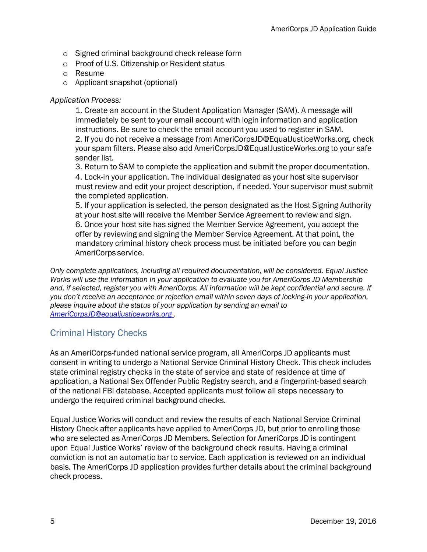- o Signed criminal background check release form
- o Proof of U.S. Citizenship or Resident status
- o Resume
- o Applicant snapshot (optional)

#### *Application Process:*

1. Create an account in the Student [Application](https://info.equaljusticeworks.org/summercorps/login.asp) Manager (SAM). A message will immediately be sent to your email account with login information and application instructions. Be sure to check the email account you used to register in SAM. 2. If you do not receive a message from [AmeriCorpsJD@EqualJusticeWorks.org,](https://mail.google.com/mail/?view=cm&fs=1&tf=1&to=AmeriCorpsJD%40EqualJusticeWorks.org) check

your spam filters. Please also add [AmeriCorpsJD@EqualJusticeWorks.org](https://mail.google.com/mail/?view=cm&fs=1&tf=1&to=AmeriCorpsJD%40EqualJusticeWorks.org) to your safe sender list.

3. Return to SAM to complete the application and submit the proper documentation.

4. Lock-in your application. The individual designated as your host site supervisor must review and edit your project description, if needed. Your supervisor must submit the completed application.

5. If your application is selected, the person designated as the Host Signing Authority at your host site will receive the Member Service Agreement to review and sign. 6. Once your host site has signed the Member Service Agreement, you accept the offer by reviewing and signing the Member Service Agreement. At that point, the mandatory criminal history check process must be initiated before you can begin AmeriCorps service.

*Only complete applications, including all required documentation, will be considered. Equal Justice Works will use the information in your application to evaluate you for AmeriCorps JD Membership and, if selected, register you with AmeriCorps. All information will be kept confidential and secure. If you don't receive an acceptance or rejection email within seven days of locking-in your application, please inquire about the status of your application by sending an email to [AmeriCorpsJD@equaljusticeworks.org .](mailto:AmeriCorpsJD@equaljusticeworks.org)*

# <span id="page-5-0"></span>Criminal History Checks

As an AmeriCorps-funded national service program, all AmeriCorps JD applicants must consent in writing to undergo a National Service Criminal History Check. This check includes state criminal registry checks in the state of service and state of residence at time of application, a National Sex Offender Public Registry search, and a fingerprint-based search of the national FBI database. Accepted applicants must follow all steps necessary to undergo the required criminal background checks.

Equal Justice Works will conduct and review the results of each National Service Criminal History Check after applicants have applied to AmeriCorps JD, but prior to enrolling those who are selected as AmeriCorps JD Members. Selection for AmeriCorps JD is contingent upon Equal Justice Works' review of the background check results. Having a criminal conviction is not an automatic bar to service. Each application is reviewed on an individual basis. The AmeriCorps JD application provides further details about the criminal background check process.